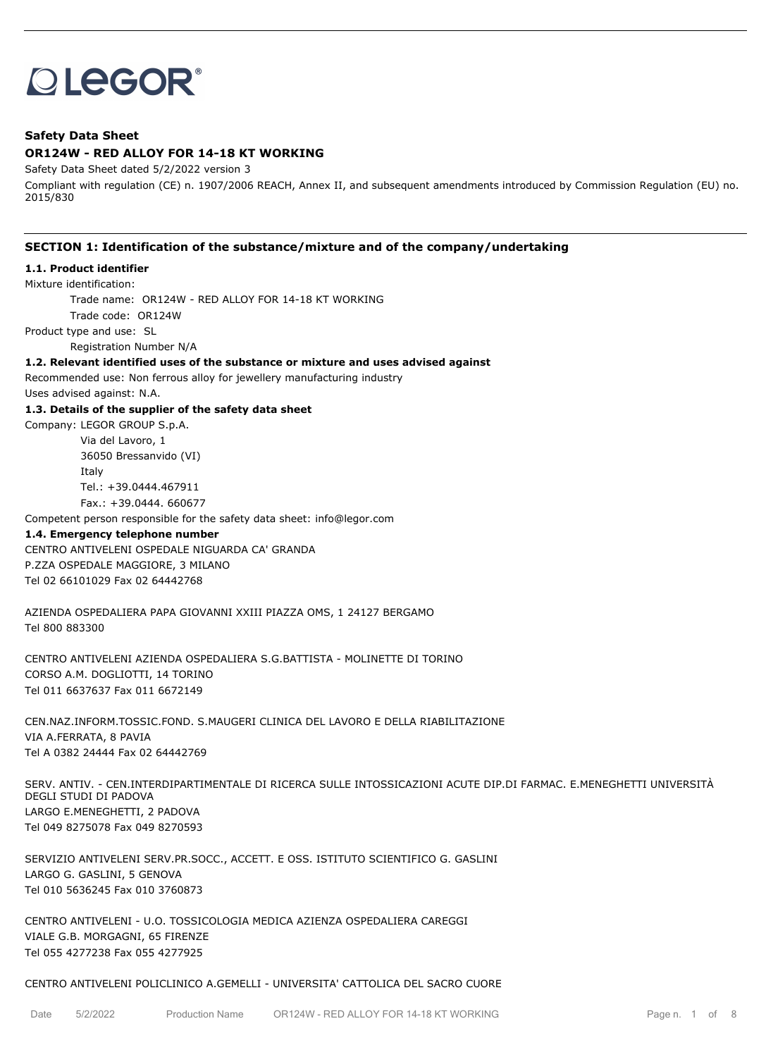# **OLEGOR®**

# **Safety Data Sheet**

# **OR124W - RED ALLOY FOR 14-18 KT WORKING**

Safety Data Sheet dated 5/2/2022 version 3

Compliant with regulation (CE) n. 1907/2006 REACH, Annex II, and subsequent amendments introduced by Commission Regulation (EU) no. 2015/830

# **SECTION 1: Identification of the substance/mixture and of the company/undertaking**

# **1.1. Product identifier**

Mixture identification:

Trade name: OR124W - RED ALLOY FOR 14-18 KT WORKING

Trade code: OR124W

Product type and use: SL

Registration Number N/A

#### **1.2. Relevant identified uses of the substance or mixture and uses advised against**

Recommended use: Non ferrous alloy for jewellery manufacturing industry Uses advised against: N.A.

#### **1.3. Details of the supplier of the safety data sheet**

Company: LEGOR GROUP S.p.A.

Via del Lavoro, 1 36050 Bressanvido (VI) Italy Tel.: +39.0444.467911 Fax.: +39.0444. 660677

Competent person responsible for the safety data sheet: info@legor.com

#### **1.4. Emergency telephone number**

CENTRO ANTIVELENI OSPEDALE NIGUARDA CA' GRANDA P.ZZA OSPEDALE MAGGIORE, 3 MILANO Tel 02 66101029 Fax 02 64442768

AZIENDA OSPEDALIERA PAPA GIOVANNI XXIII PIAZZA OMS, 1 24127 BERGAMO Tel 800 883300

CENTRO ANTIVELENI AZIENDA OSPEDALIERA S.G.BATTISTA - MOLINETTE DI TORINO CORSO A.M. DOGLIOTTI, 14 TORINO Tel 011 6637637 Fax 011 6672149

CEN.NAZ.INFORM.TOSSIC.FOND. S.MAUGERI CLINICA DEL LAVORO E DELLA RIABILITAZIONE VIA A.FERRATA, 8 PAVIA Tel A 0382 24444 Fax 02 64442769

SERV. ANTIV. - CEN.INTERDIPARTIMENTALE DI RICERCA SULLE INTOSSICAZIONI ACUTE DIP.DI FARMAC. E.MENEGHETTI UNIVERSITÀ DEGLI STUDI DI PADOVA LARGO E.MENEGHETTI, 2 PADOVA Tel 049 8275078 Fax 049 8270593

SERVIZIO ANTIVELENI SERV.PR.SOCC., ACCETT. E OSS. ISTITUTO SCIENTIFICO G. GASLINI LARGO G. GASLINI, 5 GENOVA Tel 010 5636245 Fax 010 3760873

CENTRO ANTIVELENI - U.O. TOSSICOLOGIA MEDICA AZIENZA OSPEDALIERA CAREGGI VIALE G.B. MORGAGNI, 65 FIRENZE Tel 055 4277238 Fax 055 4277925

#### CENTRO ANTIVELENI POLICLINICO A.GEMELLI - UNIVERSITA' CATTOLICA DEL SACRO CUORE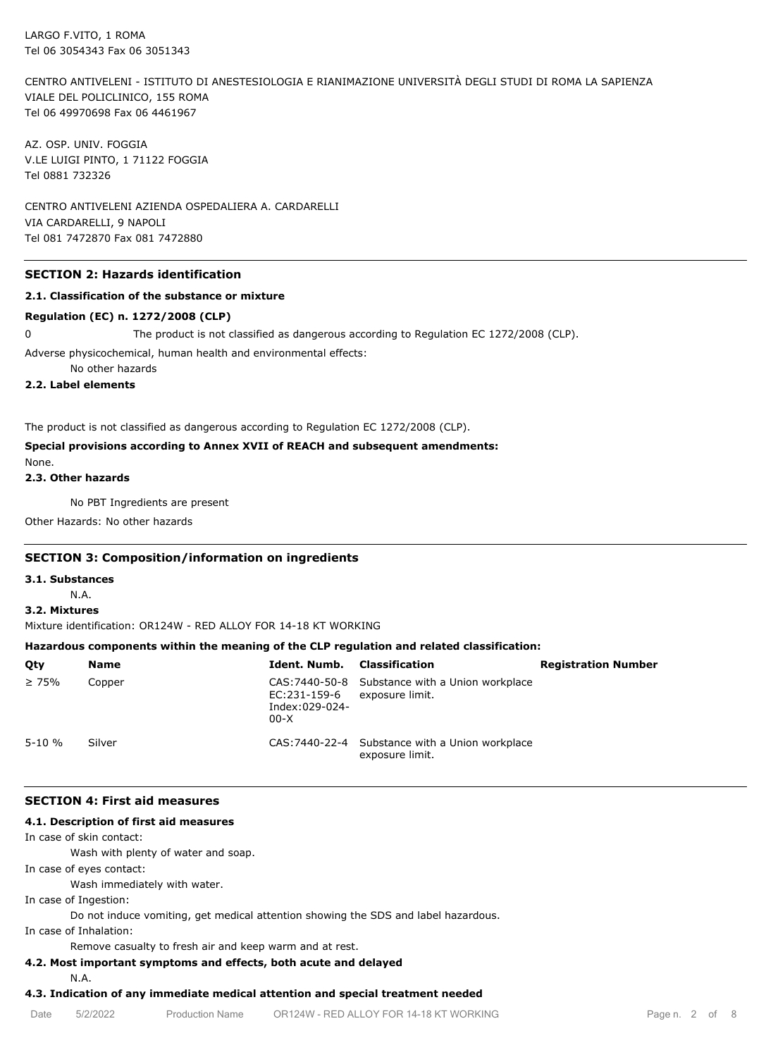CENTRO ANTIVELENI - ISTITUTO DI ANESTESIOLOGIA E RIANIMAZIONE UNIVERSITÀ DEGLI STUDI DI ROMA LA SAPIENZA VIALE DEL POLICLINICO, 155 ROMA Tel 06 49970698 Fax 06 4461967

AZ. OSP. UNIV. FOGGIA V.LE LUIGI PINTO, 1 71122 FOGGIA Tel 0881 732326

CENTRO ANTIVELENI AZIENDA OSPEDALIERA A. CARDARELLI VIA CARDARELLI, 9 NAPOLI Tel 081 7472870 Fax 081 7472880

#### **SECTION 2: Hazards identification**

#### **2.1. Classification of the substance or mixture**

#### **Regulation (EC) n. 1272/2008 (CLP)**

0 The product is not classified as dangerous according to Regulation EC 1272/2008 (CLP).

Adverse physicochemical, human health and environmental effects:

No other hazards

# **2.2. Label elements**

The product is not classified as dangerous according to Regulation EC 1272/2008 (CLP).

# **Special provisions according to Annex XVII of REACH and subsequent amendments:**

None. **2.3. Other hazards**

No PBT Ingredients are present

Other Hazards: No other hazards

#### **SECTION 3: Composition/information on ingredients**

#### **3.1. Substances**

N.A.

**3.2. Mixtures**

Mixture identification: OR124W - RED ALLOY FOR 14-18 KT WORKING

#### **Hazardous components within the meaning of the CLP regulation and related classification:**

| Qty         | Name   | Ident. Numb.                             | Classification                                                     | <b>Registration Number</b> |
|-------------|--------|------------------------------------------|--------------------------------------------------------------------|----------------------------|
| $\geq 75\%$ | Copper | EC:231-159-6<br>Index:029-024-<br>$00-X$ | CAS: 7440-50-8 Substance with a Union workplace<br>exposure limit. |                            |
| $5 - 10 \%$ | Silver |                                          | CAS: 7440-22-4 Substance with a Union workplace<br>exposure limit. |                            |

#### **SECTION 4: First aid measures**

#### **4.1. Description of first aid measures**

In case of skin contact:

Wash with plenty of water and soap.

In case of eyes contact:

Wash immediately with water.

In case of Ingestion:

Do not induce vomiting, get medical attention showing the SDS and label hazardous.

In case of Inhalation:

Remove casualty to fresh air and keep warm and at rest.

# **4.2. Most important symptoms and effects, both acute and delayed**

N.A.

# **4.3. Indication of any immediate medical attention and special treatment needed**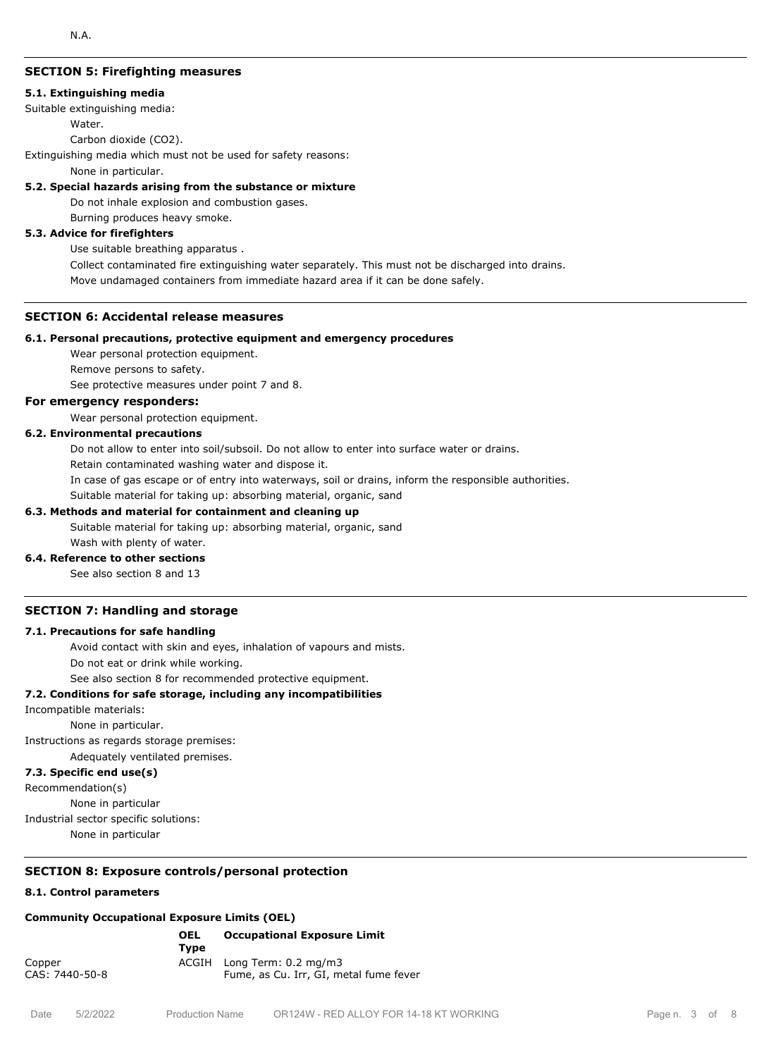#### **SECTION 5: Firefighting measures**

#### **5.1. Extinguishing media**

Suitable extinguishing media:

#### Water.

Carbon dioxide (CO2).

Extinguishing media which must not be used for safety reasons:

None in particular.

### **5.2. Special hazards arising from the substance or mixture**

Do not inhale explosion and combustion gases.

Burning produces heavy smoke.

# **5.3. Advice for firefighters**

Use suitable breathing apparatus .

Collect contaminated fire extinguishing water separately. This must not be discharged into drains.

Move undamaged containers from immediate hazard area if it can be done safely.

#### **SECTION 6: Accidental release measures**

#### **6.1. Personal precautions, protective equipment and emergency procedures**

Wear personal protection equipment.

Remove persons to safety.

See protective measures under point 7 and 8.

# **For emergency responders:**

Wear personal protection equipment.

# **6.2. Environmental precautions**

Do not allow to enter into soil/subsoil. Do not allow to enter into surface water or drains.

Retain contaminated washing water and dispose it.

In case of gas escape or of entry into waterways, soil or drains, inform the responsible authorities.

Suitable material for taking up: absorbing material, organic, sand

#### **6.3. Methods and material for containment and cleaning up**

Suitable material for taking up: absorbing material, organic, sand Wash with plenty of water.

#### **6.4. Reference to other sections**

See also section 8 and 13

#### **SECTION 7: Handling and storage**

#### **7.1. Precautions for safe handling**

Avoid contact with skin and eyes, inhalation of vapours and mists.

Do not eat or drink while working.

See also section 8 for recommended protective equipment.

#### **7.2. Conditions for safe storage, including any incompatibilities**

Incompatible materials:

None in particular.

Instructions as regards storage premises:

Adequately ventilated premises.

#### **7.3. Specific end use(s)**

Recommendation(s)

None in particular

Industrial sector specific solutions:

None in particular

#### **SECTION 8: Exposure controls/personal protection**

#### **8.1. Control parameters**

#### **Community Occupational Exposure Limits (OEL)**

|                          | <b>OEL</b><br>Tvpe | <b>Occupational Exposure Limit</b>                                   |
|--------------------------|--------------------|----------------------------------------------------------------------|
| Copper<br>CAS: 7440-50-8 |                    | ACGIH Long Term: 0.2 mg/m3<br>Fume, as Cu. Irr, GI, metal fume fever |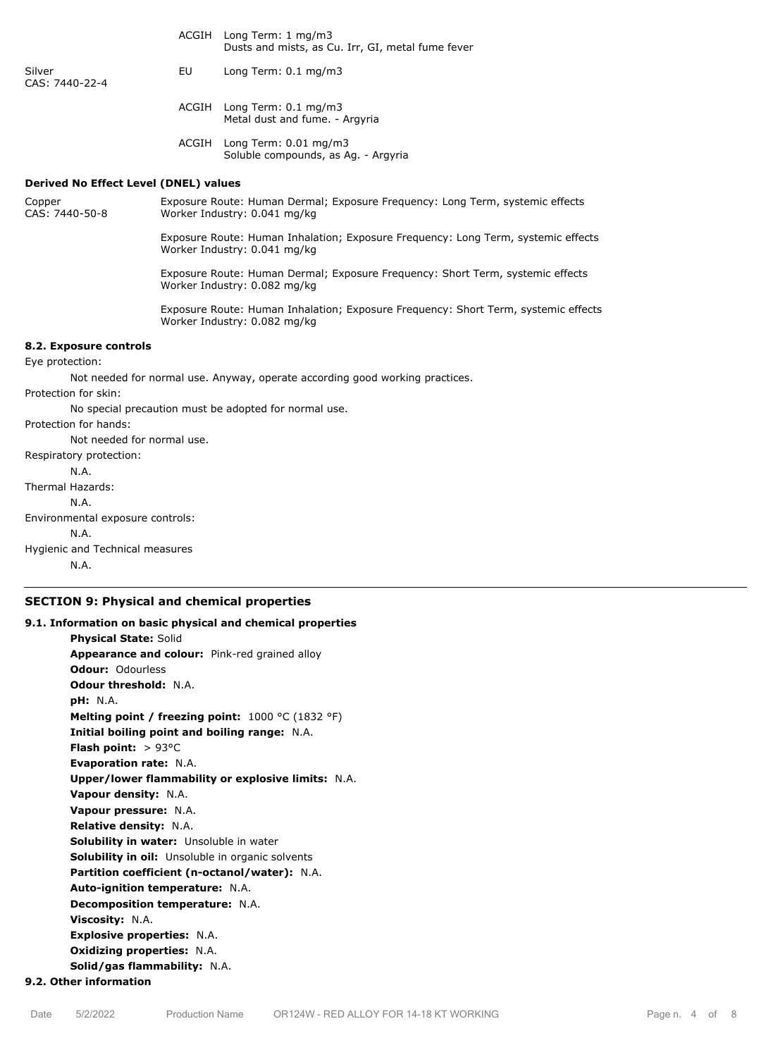|                                              |                                                                                                                    | $10119 + 11111 + 11197111$<br>Dusts and mists, as Cu. Irr, GI, metal fume fever                                |  |  |  |
|----------------------------------------------|--------------------------------------------------------------------------------------------------------------------|----------------------------------------------------------------------------------------------------------------|--|--|--|
| Silver<br>CAS: 7440-22-4                     | EU                                                                                                                 | Long Term: 0.1 mg/m3                                                                                           |  |  |  |
|                                              |                                                                                                                    | ACGIH Long Term: 0.1 mg/m3<br>Metal dust and fume. - Argyria                                                   |  |  |  |
|                                              |                                                                                                                    | ACGIH Long Term: 0.01 mg/m3<br>Soluble compounds, as Ag. - Argyria                                             |  |  |  |
| <b>Derived No Effect Level (DNEL) values</b> |                                                                                                                    |                                                                                                                |  |  |  |
| Copper<br>CAS: 7440-50-8                     | Exposure Route: Human Dermal; Exposure Frequency: Long Term, systemic effects<br>Worker Industry: 0.041 mg/kg      |                                                                                                                |  |  |  |
|                                              | Exposure Route: Human Inhalation; Exposure Frequency: Long Term, systemic effects<br>Worker Industry: 0.041 mg/kg  |                                                                                                                |  |  |  |
|                                              |                                                                                                                    | Exposure Route: Human Dermal; Exposure Frequency: Short Term, systemic effects<br>Worker Industry: 0.082 mg/kg |  |  |  |
|                                              | Exposure Route: Human Inhalation; Exposure Frequency: Short Term, systemic effects<br>Worker Industry: 0.082 mg/kg |                                                                                                                |  |  |  |
| 8.2. Exposure controls                       |                                                                                                                    |                                                                                                                |  |  |  |
| Eye protection:                              |                                                                                                                    |                                                                                                                |  |  |  |
|                                              |                                                                                                                    | Not needed for normal use. Anyway, operate according good working practices.                                   |  |  |  |
| Protection for skin:                         |                                                                                                                    |                                                                                                                |  |  |  |
|                                              |                                                                                                                    | No special precaution must be adopted for normal use.                                                          |  |  |  |
| Protection for hands:                        |                                                                                                                    |                                                                                                                |  |  |  |
| Not needed for normal use.                   |                                                                                                                    |                                                                                                                |  |  |  |
| Respiratory protection:                      |                                                                                                                    |                                                                                                                |  |  |  |
| N.A.                                         |                                                                                                                    |                                                                                                                |  |  |  |
| <b>Thermal Hazards:</b>                      |                                                                                                                    |                                                                                                                |  |  |  |
| N.A.                                         |                                                                                                                    |                                                                                                                |  |  |  |
| Environmental exposure controls:             |                                                                                                                    |                                                                                                                |  |  |  |
| N.A.                                         |                                                                                                                    |                                                                                                                |  |  |  |
| Hygienic and Technical measures              |                                                                                                                    |                                                                                                                |  |  |  |
| N.A.                                         |                                                                                                                    |                                                                                                                |  |  |  |

ACGIH Long Term: 1 mg/m3

### **SECTION 9: Physical and chemical properties**

**9.1. Information on basic physical and chemical properties Physical State:** Solid **Appearance and colour:** Pink-red grained alloy **Odour:** Odourless **Odour threshold:** N.A. **pH:** N.A. **Melting point / freezing point:** 1000 °C (1832 °F) **Initial boiling point and boiling range:** N.A. **Flash point:** > 93°C **Evaporation rate:** N.A. **Upper/lower flammability or explosive limits:** N.A. **Vapour density:** N.A. **Vapour pressure:** N.A. **Relative density:** N.A. **Solubility in water:** Unsoluble in water **Solubility in oil:** Unsoluble in organic solvents **Partition coefficient (n-octanol/water):** N.A. **Auto-ignition temperature:** N.A. **Decomposition temperature:** N.A. **Viscosity:** N.A. **Explosive properties:** N.A. **Oxidizing properties:** N.A. **Solid/gas flammability:** N.A. **9.2. Other information**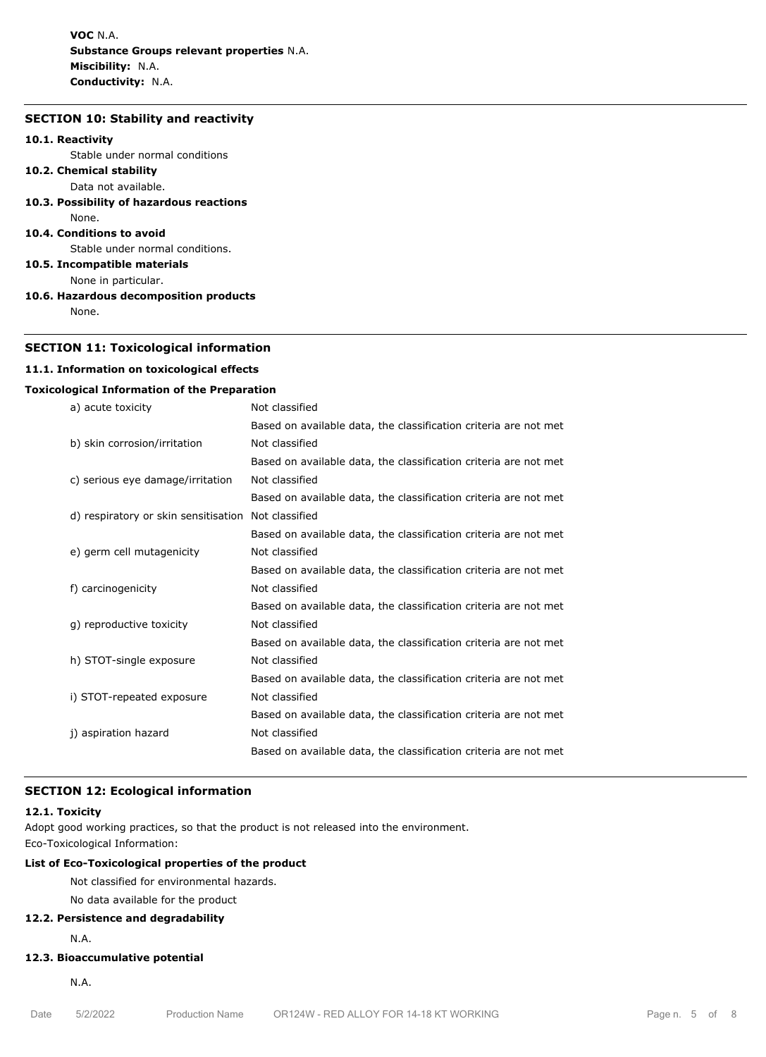**VOC** N.A. **Substance Groups relevant properties** N.A. **Miscibility:** N.A. **Conductivity:** N.A.

# **SECTION 10: Stability and reactivity**

#### **10.1. Reactivity**

Stable under normal conditions

- **10.2. Chemical stability** Data not available.
- **10.3. Possibility of hazardous reactions**
- None.
- **10.4. Conditions to avoid**

Stable under normal conditions.

**10.5. Incompatible materials**

- None in particular.
- **10.6. Hazardous decomposition products** None.

#### **SECTION 11: Toxicological information**

#### **11.1. Information on toxicological effects**

#### **Toxicological Information of the Preparation**

| a) acute toxicity  |                                      | Not classified                                                   |
|--------------------|--------------------------------------|------------------------------------------------------------------|
|                    |                                      | Based on available data, the classification criteria are not met |
|                    | b) skin corrosion/irritation         | Not classified                                                   |
|                    |                                      | Based on available data, the classification criteria are not met |
|                    | c) serious eye damage/irritation     | Not classified                                                   |
|                    |                                      | Based on available data, the classification criteria are not met |
|                    | d) respiratory or skin sensitisation | Not classified                                                   |
|                    |                                      | Based on available data, the classification criteria are not met |
|                    | e) germ cell mutagenicity            | Not classified                                                   |
|                    |                                      | Based on available data, the classification criteria are not met |
| f) carcinogenicity |                                      | Not classified                                                   |
|                    |                                      | Based on available data, the classification criteria are not met |
|                    | g) reproductive toxicity             | Not classified                                                   |
|                    |                                      | Based on available data, the classification criteria are not met |
|                    | h) STOT-single exposure              | Not classified                                                   |
|                    |                                      | Based on available data, the classification criteria are not met |
|                    | i) STOT-repeated exposure            | Not classified                                                   |
|                    |                                      | Based on available data, the classification criteria are not met |
|                    | j) aspiration hazard                 | Not classified                                                   |
|                    |                                      | Based on available data, the classification criteria are not met |
|                    |                                      |                                                                  |

#### **SECTION 12: Ecological information**

#### **12.1. Toxicity**

Adopt good working practices, so that the product is not released into the environment.

Eco-Toxicological Information:

# **List of Eco-Toxicological properties of the product**

Not classified for environmental hazards.

No data available for the product

# **12.2. Persistence and degradability**

N.A.

# **12.3. Bioaccumulative potential**

N.A.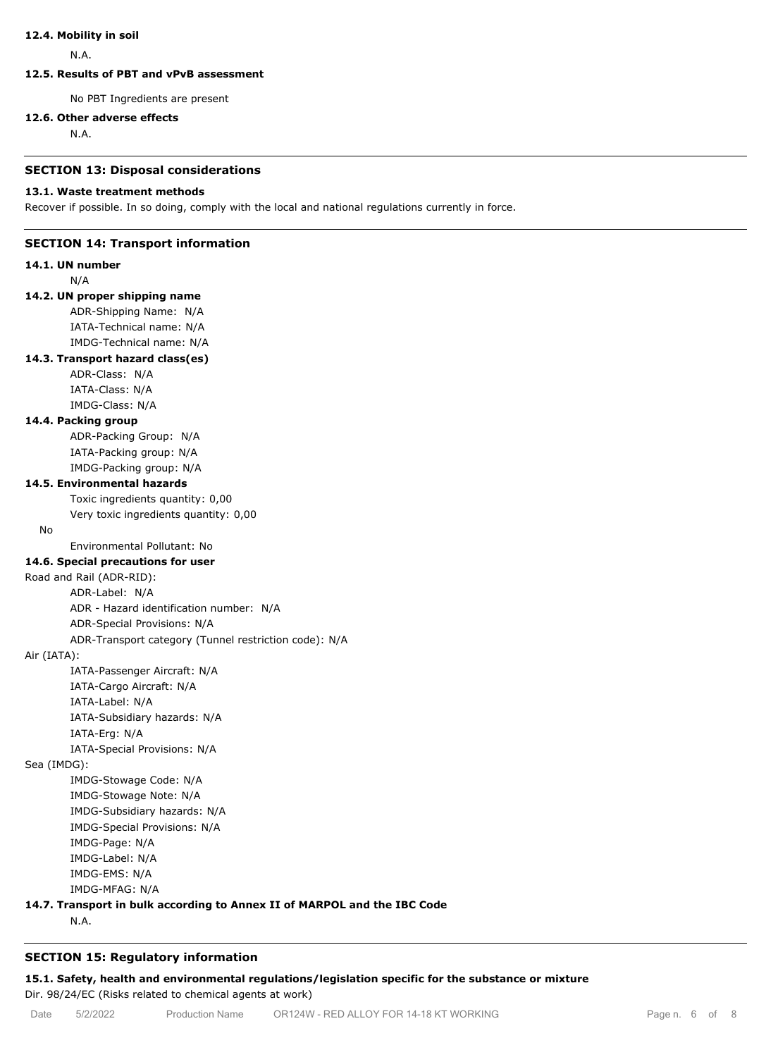#### **12.4. Mobility in soil**

N.A.

# **12.5. Results of PBT and vPvB assessment**

No PBT Ingredients are present

#### **12.6. Other adverse effects**

N.A.

#### **SECTION 13: Disposal considerations**

#### **13.1. Waste treatment methods**

Recover if possible. In so doing, comply with the local and national regulations currently in force.

#### **SECTION 14: Transport information**

**14.1. UN number**

N/A

# **14.2. UN proper shipping name**

ADR-Shipping Name: N/A IATA-Technical name: N/A IMDG-Technical name: N/A

## **14.3. Transport hazard class(es)**

ADR-Class: N/A IATA-Class: N/A IMDG-Class: N/A

#### **14.4. Packing group**

ADR-Packing Group: N/A IATA-Packing group: N/A IMDG-Packing group: N/A

#### **14.5. Environmental hazards**

Toxic ingredients quantity: 0,00

Very toxic ingredients quantity: 0,00

No

Environmental Pollutant: No

# **14.6. Special precautions for user**

Road and Rail (ADR-RID):

ADR-Label: N/A ADR - Hazard identification number: N/A

ADR-Special Provisions: N/A

ADR-Transport category (Tunnel restriction code): N/A

#### Air (IATA):

IATA-Passenger Aircraft: N/A IATA-Cargo Aircraft: N/A IATA-Label: N/A IATA-Subsidiary hazards: N/A IATA-Erg: N/A IATA-Special Provisions: N/A

Sea (IMDG):

IMDG-Stowage Code: N/A IMDG-Stowage Note: N/A IMDG-Subsidiary hazards: N/A IMDG-Special Provisions: N/A IMDG-Page: N/A IMDG-Label: N/A IMDG-EMS: N/A

IMDG-MFAG: N/A

# **14.7. Transport in bulk according to Annex II of MARPOL and the IBC Code**

N.A.

# **SECTION 15: Regulatory information**

**15.1. Safety, health and environmental regulations/legislation specific for the substance or mixture** Dir. 98/24/EC (Risks related to chemical agents at work)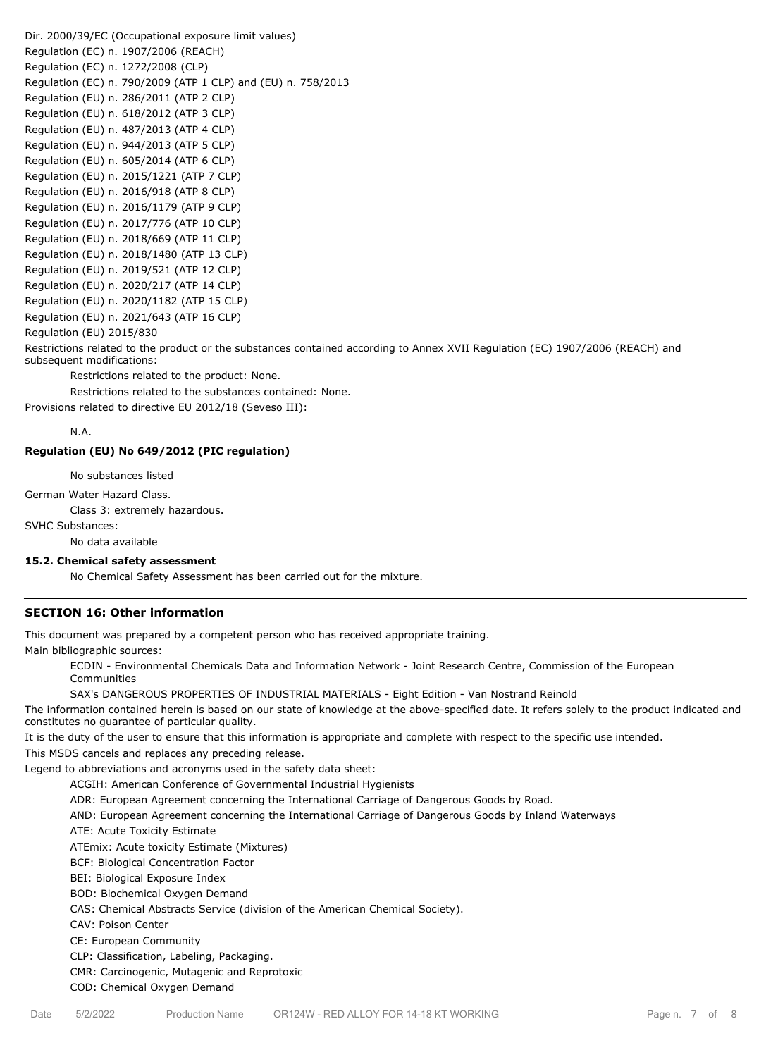Dir. 2000/39/EC (Occupational exposure limit values) Regulation (EC) n. 1907/2006 (REACH) Regulation (EC) n. 1272/2008 (CLP) Regulation (EC) n. 790/2009 (ATP 1 CLP) and (EU) n. 758/2013 Regulation (EU) n. 286/2011 (ATP 2 CLP) Regulation (EU) n. 618/2012 (ATP 3 CLP) Regulation (EU) n. 487/2013 (ATP 4 CLP) Regulation (EU) n. 944/2013 (ATP 5 CLP) Regulation (EU) n. 605/2014 (ATP 6 CLP) Regulation (EU) n. 2015/1221 (ATP 7 CLP) Regulation (EU) n. 2016/918 (ATP 8 CLP) Regulation (EU) n. 2016/1179 (ATP 9 CLP) Regulation (EU) n. 2017/776 (ATP 10 CLP) Regulation (EU) n. 2018/669 (ATP 11 CLP) Regulation (EU) n. 2018/1480 (ATP 13 CLP) Regulation (EU) n. 2019/521 (ATP 12 CLP) Regulation (EU) n. 2020/217 (ATP 14 CLP) Regulation (EU) n. 2020/1182 (ATP 15 CLP) Regulation (EU) n. 2021/643 (ATP 16 CLP) Regulation (EU) 2015/830

Restrictions related to the product or the substances contained according to Annex XVII Regulation (EC) 1907/2006 (REACH) and subsequent modifications:

Restrictions related to the product: None.

Restrictions related to the substances contained: None.

Provisions related to directive EU 2012/18 (Seveso III):

N.A.

#### **Regulation (EU) No 649/2012 (PIC regulation)**

No substances listed

German Water Hazard Class.

Class 3: extremely hazardous.

SVHC Substances:

No data available

#### **15.2. Chemical safety assessment**

No Chemical Safety Assessment has been carried out for the mixture.

#### **SECTION 16: Other information**

This document was prepared by a competent person who has received appropriate training.

Main bibliographic sources:

ECDIN - Environmental Chemicals Data and Information Network - Joint Research Centre, Commission of the European Communities

SAX's DANGEROUS PROPERTIES OF INDUSTRIAL MATERIALS - Eight Edition - Van Nostrand Reinold

The information contained herein is based on our state of knowledge at the above-specified date. It refers solely to the product indicated and constitutes no guarantee of particular quality.

It is the duty of the user to ensure that this information is appropriate and complete with respect to the specific use intended.

This MSDS cancels and replaces any preceding release.

Legend to abbreviations and acronyms used in the safety data sheet:

ACGIH: American Conference of Governmental Industrial Hygienists

ADR: European Agreement concerning the International Carriage of Dangerous Goods by Road.

AND: European Agreement concerning the International Carriage of Dangerous Goods by Inland Waterways

ATE: Acute Toxicity Estimate

ATEmix: Acute toxicity Estimate (Mixtures)

BCF: Biological Concentration Factor

BEI: Biological Exposure Index

BOD: Biochemical Oxygen Demand

CAS: Chemical Abstracts Service (division of the American Chemical Society).

CAV: Poison Center

CE: European Community

CLP: Classification, Labeling, Packaging.

CMR: Carcinogenic, Mutagenic and Reprotoxic

COD: Chemical Oxygen Demand